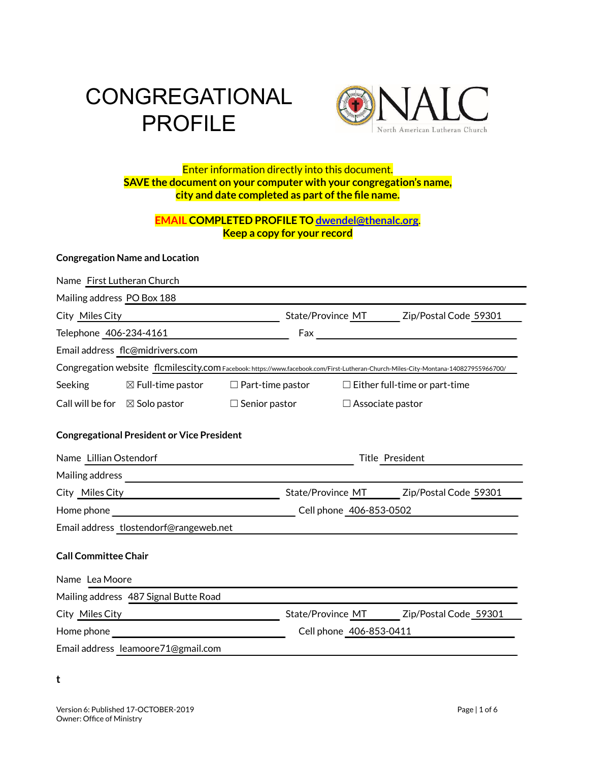# **CONGREGATIONAL** PROFILE



#### Enter information directly into this document. **SAVE the document on your computer with your congregation's name, city and date completed as part ofthe file name.**

#### **EMAIL COMPLETED PROFILE TO [dwendel@thenalc.org](mailto:dwendel@thenalc.org)**. **Keep a copy for your record**

#### **Congregation Name and Location**

| Name First Lutheran Church                                                                                                         |                              |                         |                                         |                         |                                                              |
|------------------------------------------------------------------------------------------------------------------------------------|------------------------------|-------------------------|-----------------------------------------|-------------------------|--------------------------------------------------------------|
| Mailing address PO Box 188                                                                                                         |                              |                         |                                         |                         |                                                              |
| City Miles City <b>City</b>                                                                                                        |                              |                         | State/Province MT Zip/Postal Code 59301 |                         |                                                              |
| Telephone 406-234-4161                                                                                                             |                              |                         |                                         |                         |                                                              |
| Email address flc@midrivers.com                                                                                                    |                              |                         |                                         |                         |                                                              |
| Congregation website flcmilescity.com Facebook: https://www.facebook.com/First-Lutheran-Church-Miles-City-Montana-140827955966700/ |                              |                         |                                         |                         |                                                              |
| Seeking                                                                                                                            | $\boxtimes$ Full-time pastor |                         |                                         |                         | $\Box$ Part-time pastor $\Box$ Either full-time or part-time |
| Call will be for $\boxtimes$ Solo pastor                                                                                           |                              | $\square$ Senior pastor |                                         | $\Box$ Associate pastor |                                                              |
| <b>Congregational President or Vice President</b>                                                                                  |                              |                         |                                         |                         |                                                              |
| Name Lillian Ostendorf<br>Title President                                                                                          |                              |                         |                                         |                         |                                                              |
|                                                                                                                                    |                              |                         |                                         |                         |                                                              |
| City Miles City Miles City                                                                                                         |                              |                         |                                         |                         | State/Province MT Zip/Postal Code 59301                      |
| Home phone                                                                                                                         |                              |                         | Cell phone 406-853-0502                 |                         |                                                              |
| Email address tlostendorf@rangeweb.net                                                                                             |                              |                         |                                         |                         |                                                              |
| <b>Call Committee Chair</b>                                                                                                        |                              |                         |                                         |                         |                                                              |
| Name Lea Moore                                                                                                                     |                              |                         |                                         |                         |                                                              |
| Mailing address 487 Signal Butte Road                                                                                              |                              |                         |                                         |                         |                                                              |
| City Miles City <b>City</b>                                                                                                        |                              |                         |                                         |                         | State/Province MT Zip/Postal Code 59301                      |
| Home phone<br><u> 1989 - Johann John Stein, markin f</u>                                                                           |                              |                         | Cell phone 406-853-0411                 |                         |                                                              |
| Email address leamoore71@gmail.com                                                                                                 |                              |                         |                                         |                         |                                                              |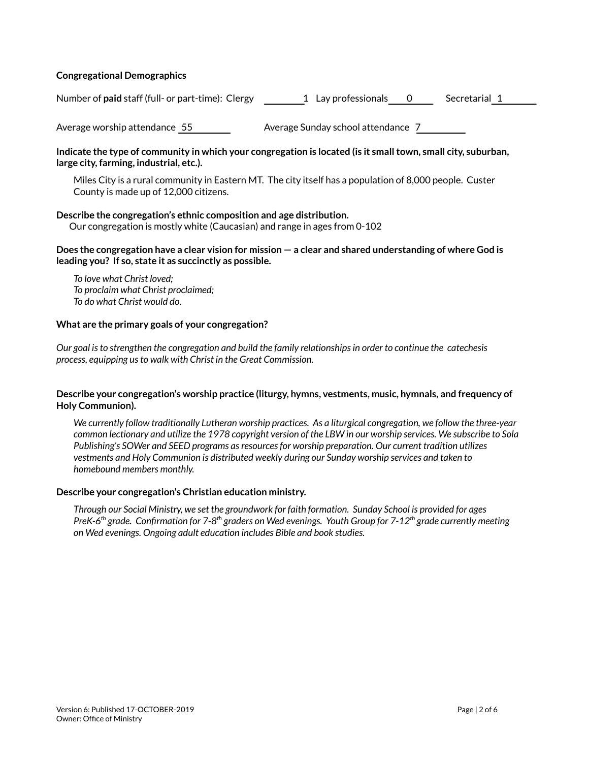#### **Congregational Demographics**

Number of **paid** staff (full- or part-time): Clergy 1 Lay professionals 0 Secretarial 1

Average worship attendance 55 Average Sunday school attendance 7

#### Indicate the type of community in which your congregation is located (is it small town, small city, suburban, **large city, farming, industrial, etc.).**

Miles City is a rural community in Eastern MT. The city itself has a population of 8,000 people. Custer County is made up of 12,000 citizens.

#### **Describe the congregation's ethnic composition and age distribution.**

Our congregation is mostly white (Caucasian) and range in ages from 0-102

#### Does the congregation have a clear vision for mission  $-$  a clear and shared understanding of where God is **leading you? If so, state it as succinctly as possible.**

*To love what Christ loved; To proclaim what Christ proclaimed; To do what Christ would do.*

#### **What are the primary goals of your congregation?**

*Our goal isto strengthen the congregation and build the family relationshipsin order to continue the catechesis process, equipping usto walk with Christ in the Great Commission.*

#### **Describe your congregation's worship practice (liturgy, hymns, vestments, music, hymnals, and frequency of Holy Communion).**

*We currently follow traditionally Lutheran worship practices. As a liturgical congregation, we follow the three-year* common lectionary and utilize the 1978 copyright version of the LBW in our worship services. We subscribe to Sola *Publishing's SOWer and SEED programs asresourcesfor worship preparation. Our current tradition utilizes vestments and Holy Communion is distributed weekly during our Sunday worship services and taken to homebound members monthly.*

#### **Describe your congregation's Christian education ministry.**

Through our Social Ministry, we set the groundwork for faith formation. Sunday School is provided for ages PreK-6<sup>th</sup> grade. Confirmation for 7-8<sup>th</sup> graders on Wed evenings. Youth Group for 7-12<sup>th</sup> grade currently meeting *on Wed evenings. Ongoing adult education includes Bible and book studies.*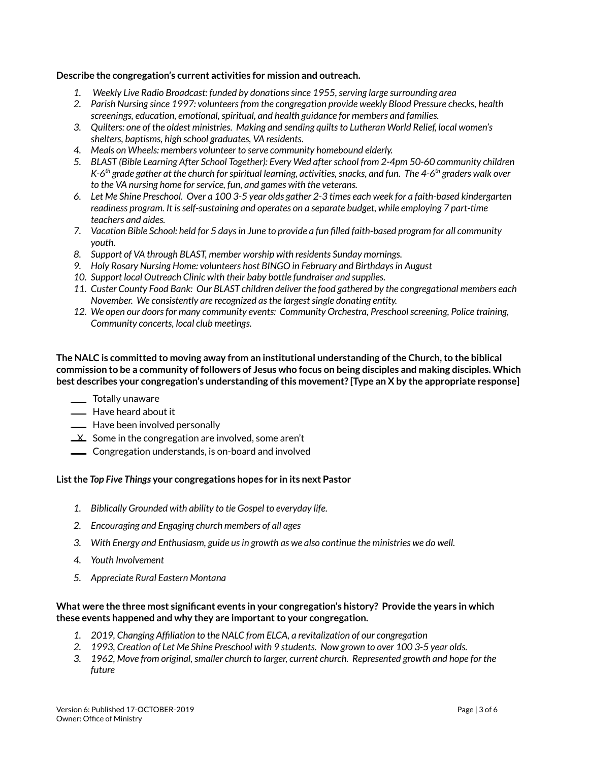#### **Describe the congregation's current activities for mission and outreach.**

- *1. Weekly Live Radio Broadcast: funded by donationssince 1955,serving large surrounding area*
- *2. Parish Nursing since 1997: volunteersfrom the congregation provide weekly Blood Pressure checks, health screenings, education, emotional,spiritual, and health guidance for members and families.*
- *3. Quilters: one of the oldest ministries. Making and sending quiltsto Lutheran World Relief, local women's shelters, baptisms, high school graduates, VA residents.*
- *4. Meals on Wheels: members volunteer to serve community homebound elderly.*
- *5. BLAST (Bible Learning After School Together): Every Wed afterschool from 2-4pm 50-60 community children* K-6<sup>th</sup> grade gather at the church for spiritual learning, activities, snacks, and fun. The 4-6<sup>th</sup> graders walk over *to the VA nursing home forservice, fun, and games with the veterans.*
- 6. Let Me Shine Preschool. Over a 100 3-5 year olds gather 2-3 times each week for a faith-based kindergarten *readiness program. It isself-sustaining and operates on a separate budget, while employing 7 part-time teachers and aides.*
- 7. Vacation Bible School: held for 5 days in June to provide a fun filled faith-based program for all community *youth.*
- *8. Support of VA through BLAST, member worship with residents Sunday mornings.*
- *9. Holy Rosary Nursing Home: volunteers host BINGO in February and Birthdaysin August*
- *10. Support local Outreach Clinic with their baby bottle fundraiser and supplies.*
- 11. Custer County Food Bank: Our BLAST children deliver the food gathered by the congregational members each *November. We consistently are recognized asthe largestsingle donating entity.*
- *12. We open our doorsfor many community events: Community Orchestra, Preschoolscreening, Police training, Community concerts, local club meetings.*

#### **The NALC is committed to moving away from an institutional understanding ofthe Church,to the biblical** commission to be a community of followers of Jesus who focus on being disciples and making disciples. Which **best describes your congregation's understanding ofthis movement? [Type an X by the appropriate response]**

- Totally unaware
- Have heard about it
- Have been involved personally
- $\frac{1}{1}$  Some in the congregation are involved, some aren't
- **LETT** Congregation understands, is on-board and involved

#### **Listthe** *Top Five Things* **your congregations hopes for in its next Pastor**

- *1. Biblically Grounded with ability to tie Gospel to everyday life.*
- *2. Encouraging and Engaging church members of all ages*
- *3. With Energy and Enthusiasm, guide usin growth as we also continue the ministries we do well.*
- *4. Youth Involvement*
- *5. Appreciate Rural Eastern Montana*

#### **What were the three most significant events in your congregation's history? Provide the years in which these events happened and why they are importantto your congregation.**

- *1. 2019, Changing Affiliation to the NALC from ELCA, a revitalization of our congregation*
- 2. 1993, Creation of Let Me Shine Preschool with 9 students. Now grown to over 100 3-5 year olds.
- *3. 1962, Move from original,smaller church to larger, current church. Represented growth and hope for the future*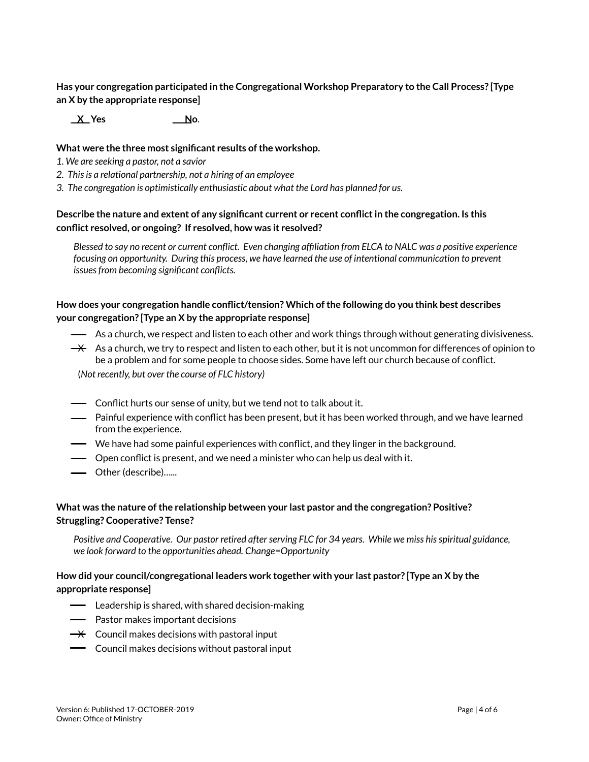**Has your congregation participated in the Congregational Workshop Preparatory to the Call Process? [Type an X by the appropriate response]**

**X Yes No**.

#### **What were the three most significant results ofthe workshop.**

- *1. We are seeking a pastor, not a savior*
- *2. Thisis a relational partnership, not a hiring of an employee*
- *3. The congregation is optimistically enthusiastic about what the Lord has planned for us.*

#### **Describe the nature and extent of any significant current or recent conflictin the congregation. Is this conflict resolved, or ongoing? If resolved, how was it resolved?**

Blessed to say no recent or current conflict. Even changing affiliation from ELCA to NALC was a positive experience *focusing on opportunity. During this process, we have learned the use of intentional communication to prevent issuesfrom becoming significant conflicts.*

#### **How does your congregation handle conflict/tension? Which ofthe following do you think best describes your congregation? [Type an X by the appropriate response]**

- As a church, we respect and listen to each other and work things through without generating divisiveness.
- $\rightarrow$  As a church, we try to respect and listen to each other, but it is not uncommon for differences of opinion to be a problem and for some people to choose sides. Some have left our church because of conflict.

(*Not recently, but over the course of FLC history)*

- Conflict hurts our sense of unity, but we tend not to talk about it.
- Painful experience with conflict has been present, but it has been worked through, and we have learned from the experience.
- We have had some painful experiences with conflict, and they linger in the background.
- Open conflict is present, and we need a minister who can help us deal with it.
- Other (describe)…...

#### **What was the nature ofthe relationship between your last pastor and the congregation? Positive? Struggling? Cooperative? Tense?**

*Positive and Cooperative. Our pastor retired afterserving FLC for 34 years. While we miss hisspiritual guidance, we look forward to the opportunities ahead. Change=Opportunity*

#### **How did your council/congregational leaders work together with your last pastor? [Type an X by the appropriate response]**

- Leadership is shared, with shared decision-making
- Pastor makes important decisions
- $\rightarrow$  Council makes decisions with pastoral input
- Council makes decisions without pastoral input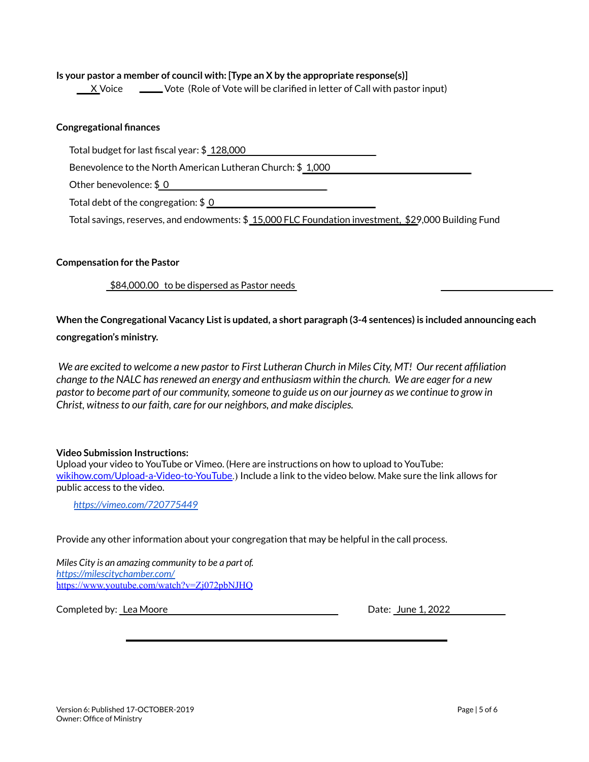#### **Is your pastor a member of council with: [Type an X by the appropriate response(s)]**

X Voice 
Worke Call with pastor input) X Voice  $\sim$  Vote (Role of Vote will be clarified in letter of Call with pastor input)

#### **Congregational finances**

Total budget for last fiscal year: \$ 128,000

Benevolence to the North American Lutheran Church: \$ 1,000

Other benevolence: \$ 0

Total debt of the congregation: \$ 0

Total savings, reserves, and endowments: \$ 15,000 FLC Foundation investment, \$29,000 Building Fund

#### **Compensation for the Pastor**

\$84,000.00 to be dispersed as Pastor needs

**When the Congregational Vacancy Listis updated, a short paragraph (3-4 sentences) is included announcing each congregation's ministry.**

We are excited to welcome a new pastor to First Lutheran Church in Miles City, MT! Our recent affiliation *change to the NALC hasrenewed an energy and enthusiasm within the church. We are eager for a new* pastor to become part of our community, someone to guide us on our journey as we continue to grow in *Christ, witnessto our faith, care for our neighbors, and make disciples.*

#### **Video Submission Instructions:**

Upload your video to YouTube or Vimeo. (Here are instructions on how to upload to YouTube: [wikihow.com/Upload-a-Video-to-YouTube](https://www.wikihow.com/Upload-a-Video-to-YouTube).) Include a link to the video below. Make sure the link allows for public access to the video.

*<https://vimeo.com/720775449>*

Provide any other information about your congregation that may be helpful in the call process.

*Miles City is an amazing community to be a part of. <https://milescitychamber.com/>* <https://www.youtube.com/watch?v=Zj072pbNJHQ>

Completed by: Lea Moore Date: June 1, 2022